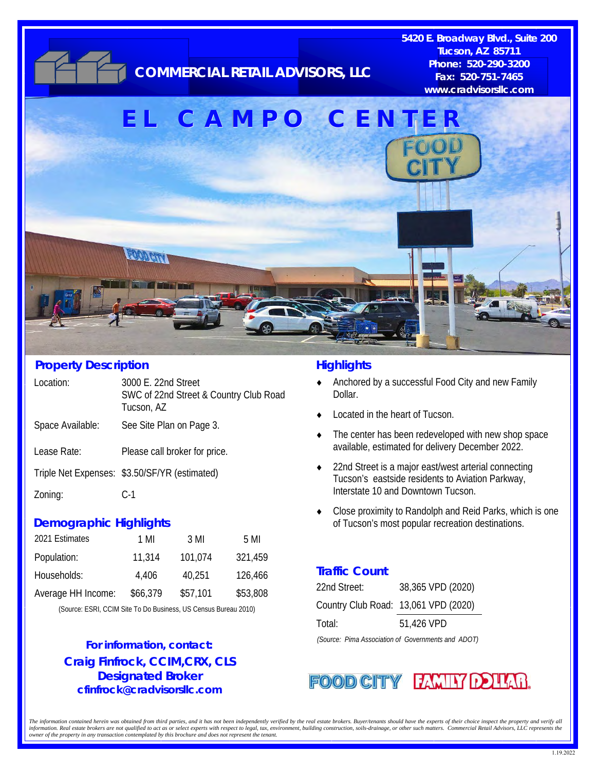

#### **Property Description**

| Location:        | 3000 E. 22nd Street<br>SWC of 22nd Street & Country Club Road<br>Tucson, AZ |
|------------------|-----------------------------------------------------------------------------|
| Space Available: | See Site Plan on Page 3.                                                    |
| Lease Rate:      | Please call broker for price.                                               |
|                  | Triple Net Expenses: \$3.50/SF/YR (estimated)                               |
| Zoning:          | C-1                                                                         |
|                  |                                                                             |

#### **Demographic Highlights**

| 2021 Estimates     | 1 MI     | 3 MI     | 5 MI     |
|--------------------|----------|----------|----------|
| Population:        | 11,314   | 101.074  | 321,459  |
| Households:        | 4.406    | 40,251   | 126,466  |
| Average HH Income: | \$66,379 | \$57,101 | \$53,808 |

(Source: ESRI, CCIM Site To Do Business, US Census Bureau 2010)

### **Craig Finfrock, CCIM,CRX, CLS Designated Broker cfinfrock@cradvisorsllc.com For information, contact:**

### **Highlights**

- ◆ Anchored by a successful Food City and new Family Dollar.
- Located in the heart of Tucson.
- The center has been redeveloped with new shop space available, estimated for delivery December 2022.
- ◆ 22nd Street is a major east/west arterial connecting Tucson's eastside residents to Aviation Parkway, Interstate 10 and Downtown Tucson.
- Close proximity to Randolph and Reid Parks, which is one of Tucson's most popular recreation destinations.

### **Traffic Count**

| 22nd Street:                         | 38,365 VPD (2020) |
|--------------------------------------|-------------------|
| Country Club Road: 13,061 VPD (2020) |                   |
| Total:                               | 51,426 VPD        |

*(Source: Pima Association of Governments and ADOT)* 

### **FOOD CITY FAMILY DOUAR**

The information contained herein was obtained from third parties, and it has not been independently verified by the real estate brokers. Buyer/tenants should have the experts of their choice inspect the property and verify information. Real estate brokers are not qualified to act as or select experts with respect to legal, tax, environment, building construction, soils drainage, or other such matters. Commercial Retail Advisors, LLC represen *owner of the property in any transaction contemplated by this brochure and does not represent the tenant.*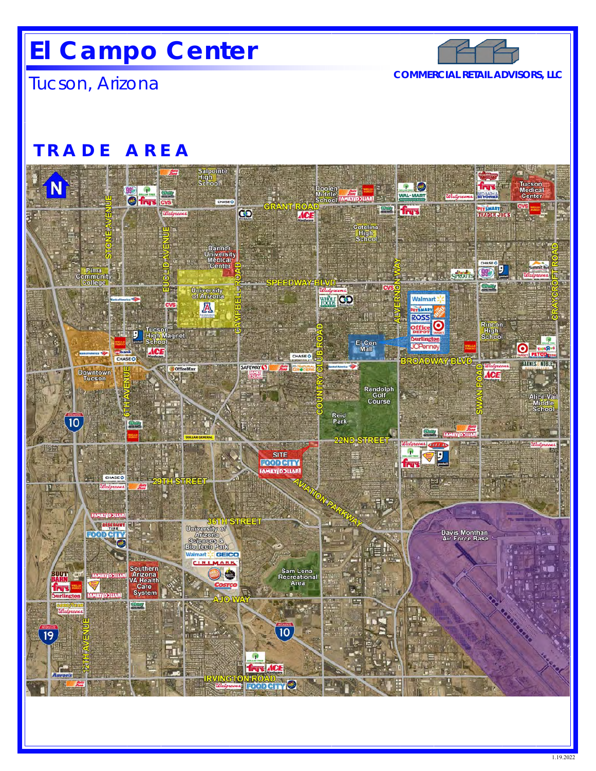## **El Campo Center**



Tucson, Arizona **COMMERCIAL RETAIL ADVISORS, LLC** 

### **TRADE AREA**